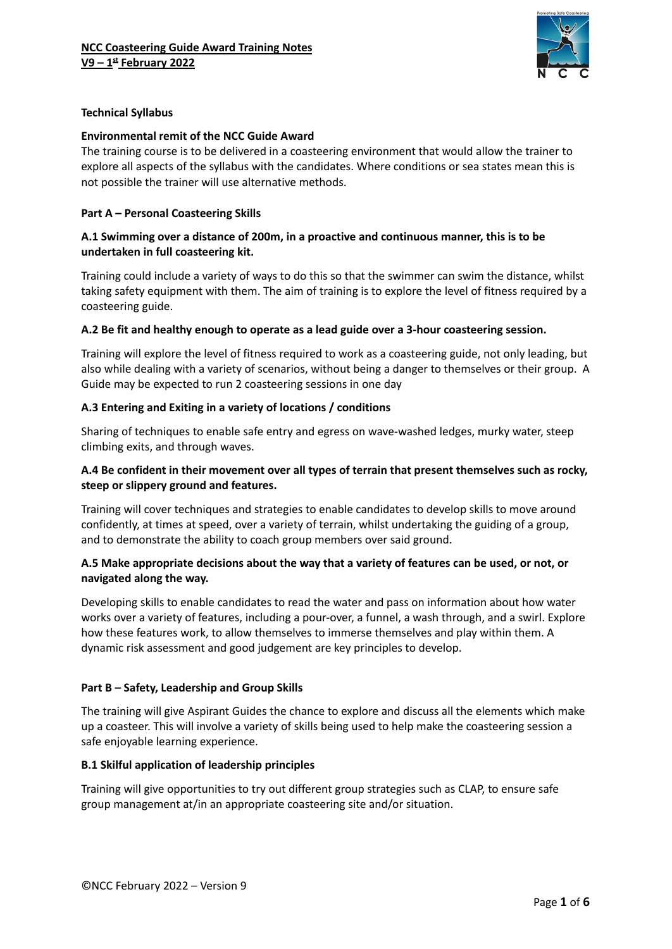

### **Technical Syllabus**

#### **Environmental remit of the NCC Guide Award**

The training course is to be delivered in a coasteering environment that would allow the trainer to explore all aspects of the syllabus with the candidates. Where conditions or sea states mean this is not possible the trainer will use alternative methods.

### **Part A – Personal Coasteering Skills**

#### **A.1 Swimming over a distance of 200m, in a proactive and continuous manner, this is to be undertaken in full coasteering kit.**

Training could include a variety of ways to do this so that the swimmer can swim the distance, whilst taking safety equipment with them. The aim of training is to explore the level of fitness required by a coasteering guide.

#### **A.2 Be fit and healthy enough to operate as a lead guide over a 3-hour coasteering session.**

Training will explore the level of fitness required to work as a coasteering guide, not only leading, but also while dealing with a variety of scenarios, without being a danger to themselves or their group. A Guide may be expected to run 2 coasteering sessions in one day

### **A.3 Entering and Exiting in a variety of locations / conditions**

Sharing of techniques to enable safe entry and egress on wave-washed ledges, murky water, steep climbing exits, and through waves.

## **A.4 Be confident in their movement over all types of terrain that present themselves such as rocky, steep or slippery ground and features.**

Training will cover techniques and strategies to enable candidates to develop skills to move around confidently, at times at speed, over a variety of terrain, whilst undertaking the guiding of a group, and to demonstrate the ability to coach group members over said ground.

### **A.5 Make appropriate decisions about the way that a variety of features can be used, or not, or navigated along the way.**

Developing skills to enable candidates to read the water and pass on information about how water works over a variety of features, including a pour-over, a funnel, a wash through, and a swirl. Explore how these features work, to allow themselves to immerse themselves and play within them. A dynamic risk assessment and good judgement are key principles to develop.

#### **Part B – Safety, Leadership and Group Skills**

The training will give Aspirant Guides the chance to explore and discuss all the elements which make up a coasteer. This will involve a variety of skills being used to help make the coasteering session a safe enjoyable learning experience.

#### **B.1 Skilful application of leadership principles**

Training will give opportunities to try out different group strategies such as CLAP, to ensure safe group management at/in an appropriate coasteering site and/or situation.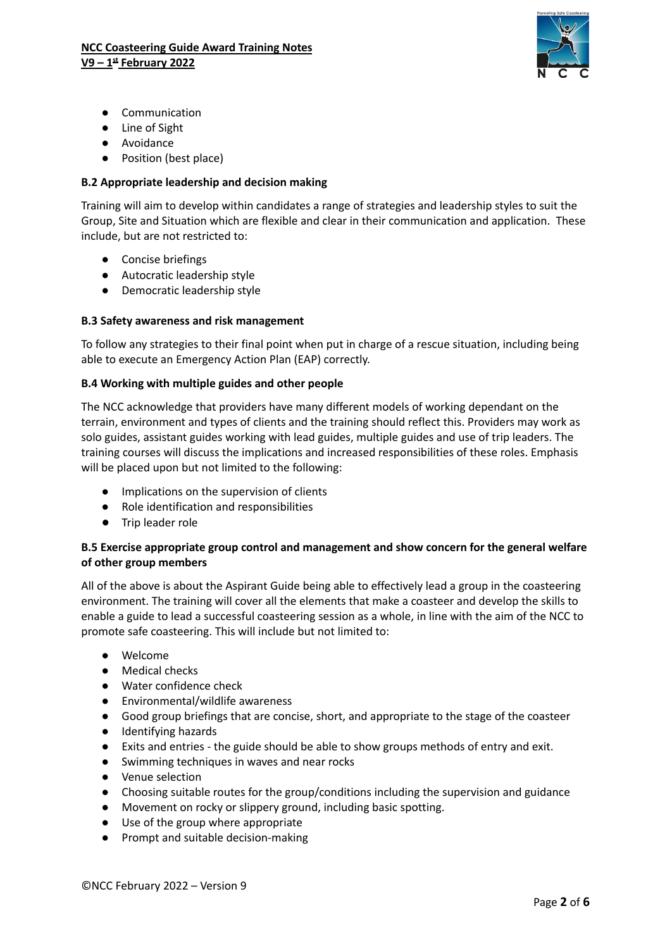

- Communication
- Line of Sight
- Avoidance
- Position (best place)

## **B.2 Appropriate leadership and decision making**

Training will aim to develop within candidates a range of strategies and leadership styles to suit the Group, Site and Situation which are flexible and clear in their communication and application. These include, but are not restricted to:

- Concise briefings
- Autocratic leadership style
- **●** Democratic leadership style

### **B.3 Safety awareness and risk management**

To follow any strategies to their final point when put in charge of a rescue situation, including being able to execute an Emergency Action Plan (EAP) correctly.

### **B.4 Working with multiple guides and other people**

The NCC acknowledge that providers have many different models of working dependant on the terrain, environment and types of clients and the training should reflect this. Providers may work as solo guides, assistant guides working with lead guides, multiple guides and use of trip leaders. The training courses will discuss the implications and increased responsibilities of these roles. Emphasis will be placed upon but not limited to the following:

- Implications on the supervision of clients
- Role identification and responsibilities
- **●** Trip leader role

### **B.5 Exercise appropriate group control and management and show concern for the general welfare of other group members**

All of the above is about the Aspirant Guide being able to effectively lead a group in the coasteering environment. The training will cover all the elements that make a coasteer and develop the skills to enable a guide to lead a successful coasteering session as a whole, in line with the aim of the NCC to promote safe coasteering. This will include but not limited to:

- Welcome
- Medical checks
- Water confidence check
- Environmental/wildlife awareness
- Good group briefings that are concise, short, and appropriate to the stage of the coasteer
- Identifying hazards
- Exits and entries the guide should be able to show groups methods of entry and exit.
- Swimming techniques in waves and near rocks
- Venue selection
- Choosing suitable routes for the group/conditions including the supervision and guidance
- Movement on rocky or slippery ground, including basic spotting.
- Use of the group where appropriate
- Prompt and suitable decision-making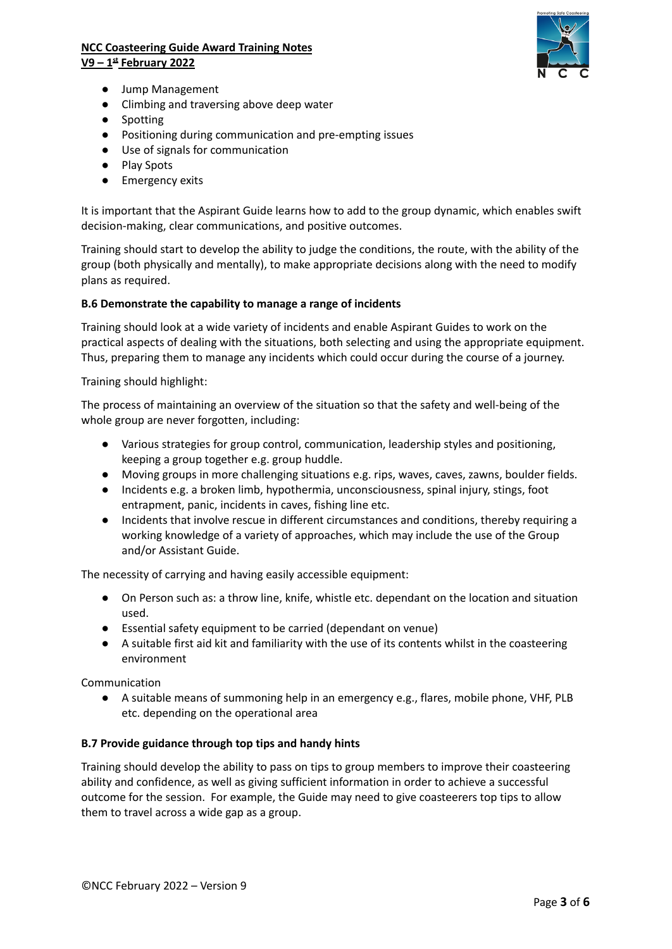# **NCC Coasteering Guide Award Training Notes V9 – 1 st February 2022**



- Jump Management
- Climbing and traversing above deep water
- Spotting
- Positioning during communication and pre-empting issues
- Use of signals for communication
- Play Spots
- Emergency exits

It is important that the Aspirant Guide learns how to add to the group dynamic, which enables swift decision-making, clear communications, and positive outcomes.

Training should start to develop the ability to judge the conditions, the route, with the ability of the group (both physically and mentally), to make appropriate decisions along with the need to modify plans as required.

### **B.6 Demonstrate the capability to manage a range of incidents**

Training should look at a wide variety of incidents and enable Aspirant Guides to work on the practical aspects of dealing with the situations, both selecting and using the appropriate equipment. Thus, preparing them to manage any incidents which could occur during the course of a journey.

Training should highlight:

The process of maintaining an overview of the situation so that the safety and well-being of the whole group are never forgotten, including:

- Various strategies for group control, communication, leadership styles and positioning, keeping a group together e.g. group huddle.
- Moving groups in more challenging situations e.g. rips, waves, caves, zawns, boulder fields.
- Incidents e.g. a broken limb, hypothermia, unconsciousness, spinal injury, stings, foot entrapment, panic, incidents in caves, fishing line etc.
- Incidents that involve rescue in different circumstances and conditions, thereby requiring a working knowledge of a variety of approaches, which may include the use of the Group and/or Assistant Guide.

The necessity of carrying and having easily accessible equipment:

- On Person such as: a throw line, knife, whistle etc. dependant on the location and situation used.
- Essential safety equipment to be carried (dependant on venue)
- A suitable first aid kit and familiarity with the use of its contents whilst in the coasteering environment

Communication

● A suitable means of summoning help in an emergency e.g., flares, mobile phone, VHF, PLB etc. depending on the operational area

#### **B.7 Provide guidance through top tips and handy hints**

Training should develop the ability to pass on tips to group members to improve their coasteering ability and confidence, as well as giving sufficient information in order to achieve a successful outcome for the session. For example, the Guide may need to give coasteerers top tips to allow them to travel across a wide gap as a group.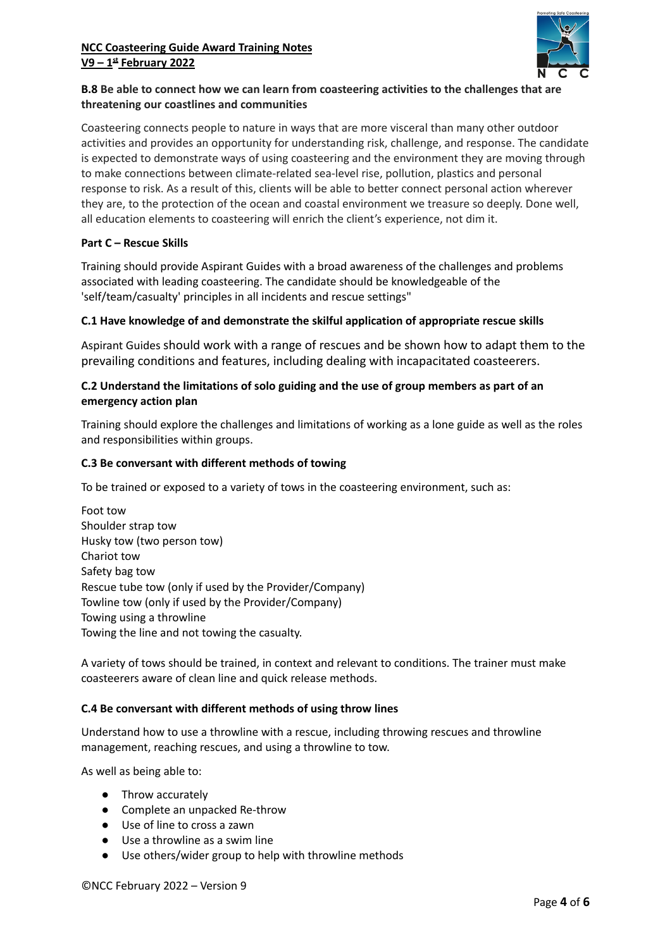# **NCC Coasteering Guide Award Training Notes V9 – 1 st February 2022**



# **B.8 Be able to connect how we can learn from coasteering activities to the challenges that are threatening our coastlines and communities**

Coasteering connects people to nature in ways that are more visceral than many other outdoor activities and provides an opportunity for understanding risk, challenge, and response. The candidate is expected to demonstrate ways of using coasteering and the environment they are moving through to make connections between climate-related sea-level rise, pollution, plastics and personal response to risk. As a result of this, clients will be able to better connect personal action wherever they are, to the protection of the ocean and coastal environment we treasure so deeply. Done well, all education elements to coasteering will enrich the client's experience, not dim it.

### **Part C – Rescue Skills**

Training should provide Aspirant Guides with a broad awareness of the challenges and problems associated with leading coasteering. The candidate should be knowledgeable of the 'self/team/casualty' principles in all incidents and rescue settings"

### **C.1 Have knowledge of and demonstrate the skilful application of appropriate rescue skills**

Aspirant Guides should work with a range of rescues and be shown how to adapt them to the prevailing conditions and features, including dealing with incapacitated coasteerers.

### **C.2 Understand the limitations of solo guiding and the use of group members as part of an emergency action plan**

Training should explore the challenges and limitations of working as a lone guide as well as the roles and responsibilities within groups.

### **C.3 Be conversant with different methods of towing**

To be trained or exposed to a variety of tows in the coasteering environment, such as:

Foot tow Shoulder strap tow Husky tow (two person tow) Chariot tow Safety bag tow Rescue tube tow (only if used by the Provider/Company) Towline tow (only if used by the Provider/Company) Towing using a throwline Towing the line and not towing the casualty.

A variety of tows should be trained, in context and relevant to conditions. The trainer must make coasteerers aware of clean line and quick release methods.

#### **C.4 Be conversant with different methods of using throw lines**

Understand how to use a throwline with a rescue, including throwing rescues and throwline management, reaching rescues, and using a throwline to tow.

As well as being able to:

- Throw accurately
- Complete an unpacked Re-throw
- Use of line to cross a zawn
- Use a throwline as a swim line
- Use others/wider group to help with throwline methods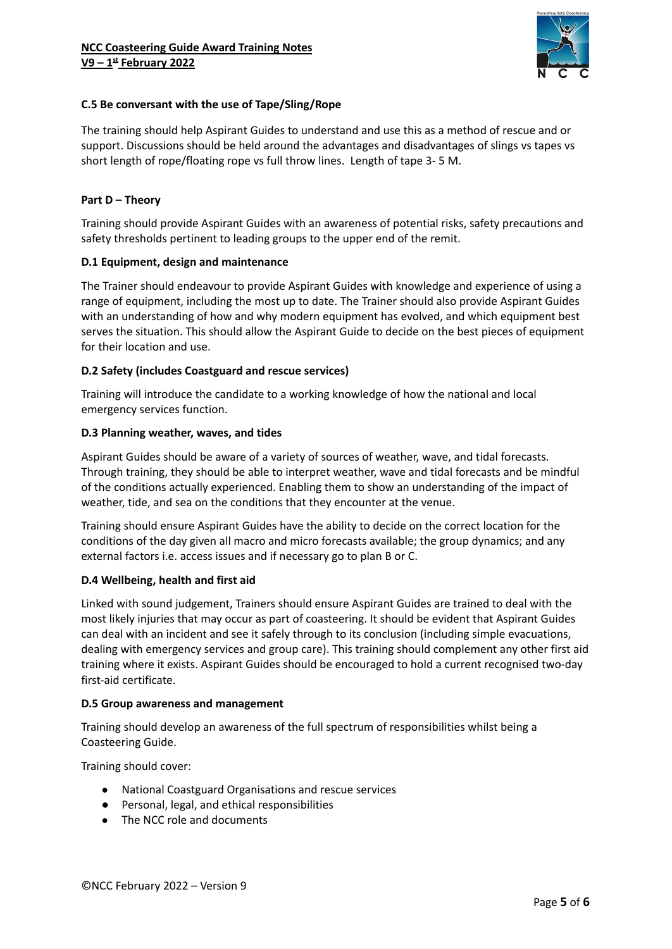

### **C.5 Be conversant with the use of Tape/Sling/Rope**

The training should help Aspirant Guides to understand and use this as a method of rescue and or support. Discussions should be held around the advantages and disadvantages of slings vs tapes vs short length of rope/floating rope vs full throw lines. Length of tape 3- 5 M.

#### **Part D – Theory**

Training should provide Aspirant Guides with an awareness of potential risks, safety precautions and safety thresholds pertinent to leading groups to the upper end of the remit.

#### **D.1 Equipment, design and maintenance**

The Trainer should endeavour to provide Aspirant Guides with knowledge and experience of using a range of equipment, including the most up to date. The Trainer should also provide Aspirant Guides with an understanding of how and why modern equipment has evolved, and which equipment best serves the situation. This should allow the Aspirant Guide to decide on the best pieces of equipment for their location and use.

### **D.2 Safety (includes Coastguard and rescue services)**

Training will introduce the candidate to a working knowledge of how the national and local emergency services function.

#### **D.3 Planning weather, waves, and tides**

Aspirant Guides should be aware of a variety of sources of weather, wave, and tidal forecasts. Through training, they should be able to interpret weather, wave and tidal forecasts and be mindful of the conditions actually experienced. Enabling them to show an understanding of the impact of weather, tide, and sea on the conditions that they encounter at the venue.

Training should ensure Aspirant Guides have the ability to decide on the correct location for the conditions of the day given all macro and micro forecasts available; the group dynamics; and any external factors i.e. access issues and if necessary go to plan B or C.

#### **D.4 Wellbeing, health and first aid**

Linked with sound judgement, Trainers should ensure Aspirant Guides are trained to deal with the most likely injuries that may occur as part of coasteering. It should be evident that Aspirant Guides can deal with an incident and see it safely through to its conclusion (including simple evacuations, dealing with emergency services and group care). This training should complement any other first aid training where it exists. Aspirant Guides should be encouraged to hold a current recognised two-day first-aid certificate.

#### **D.5 Group awareness and management**

Training should develop an awareness of the full spectrum of responsibilities whilst being a Coasteering Guide.

Training should cover:

- National Coastguard Organisations and rescue services
- Personal, legal, and ethical responsibilities
- The NCC role and documents